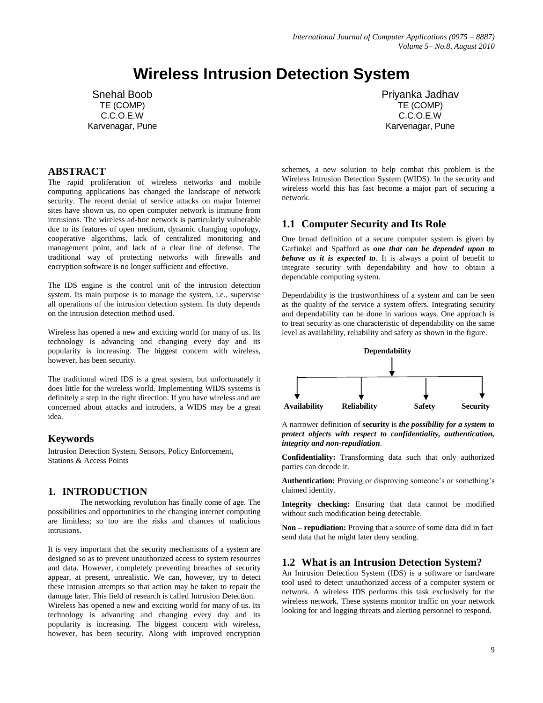# **Wireless Intrusion Detection System**

Snehal Boob TE (COMP) C.C.O.E.W Karvenagar, Pune

## **ABSTRACT**

The rapid proliferation of wireless networks and mobile computing applications has changed the landscape of network security. The recent denial of service attacks on major Internet sites have shown us, no open computer network is immune from intrusions. The wireless ad-hoc network is particularly vulnerable due to its features of open medium, dynamic changing topology, cooperative algorithms, lack of centralized monitoring and management point, and lack of a clear line of defense. The traditional way of protecting networks with firewalls and encryption software is no longer sufficient and effective.

The IDS engine is the control unit of the intrusion detection system. Its main purpose is to manage the system, i.e., supervise all operations of the intrusion detection system. Its duty depends on the intrusion detection method used.

Wireless has opened a new and exciting world for many of us. Its technology is advancing and changing every day and its popularity is increasing. The biggest concern with wireless, however, has been security.

The traditional wired IDS is a great system, but unfortunately it does little for the wireless world. Implementing WIDS systems is definitely a step in the right direction. If you have wireless and are concerned about attacks and intruders, a WIDS may be a great idea.

# **Keywords**

Intrusion Detection System, Sensors, Policy Enforcement, Stations & Access Points

### **1. INTRODUCTION**

The networking revolution has finally come of age. The possibilities and opportunities to the changing internet computing are limitless; so too are the risks and chances of malicious intrusions.

It is very important that the security mechanisms of a system are designed so as to prevent unauthorized access to system resources and data. However, completely preventing breaches of security appear, at present, unrealistic. We can, however, try to detect these intrusion attempts so that action may be taken to repair the damage later. This field of research is called Intrusion Detection. Wireless has opened a new and exciting world for many of us. Its technology is advancing and changing every day and its popularity is increasing. The biggest concern with wireless, however, has been security. Along with improved encryption

Priyanka Jadhav TE (COMP) C.C.O.E.W Karvenagar, Pune

schemes, a new solution to help combat this problem is the Wireless Intrusion Detection System (WIDS). In the security and wireless world this has fast become a major part of securing a network.

### **1.1 Computer Security and Its Role**

One broad definition of a secure computer system is given by Garfinkel and Spafford as *one that can be depended upon to behave as it is expected to*. It is always a point of benefit to integrate security with dependability and how to obtain a dependable computing system.

Dependability is the trustworthiness of a system and can be seen as the quality of the service a system offers. Integrating security and dependability can be done in various ways. One approach is to treat security as one characteristic of dependability on the same level as availability, reliability and safety as shown in the figure.



A narrower definition of **security** is *the possibility for a system to protect objects with respect to confidentiality, authentication, integrity and non-repudiation*.

**Confidentiality:** Transforming data such that only authorized parties can decode it.

**Authentication:** Proving or disproving someone's or something's claimed identity.

**Integrity checking:** Ensuring that data cannot be modified without such modification being detectable.

**Non – repudiation:** Proving that a source of some data did in fact send data that he might later deny sending.

### **1.2 What is an Intrusion Detection System?**

An Intrusion Detection System (IDS) is a software or hardware tool used to detect unauthorized access of a computer system or network. A wireless IDS performs this task exclusively for the wireless network. These systems monitor traffic on your network looking for and logging threats and alerting personnel to respond.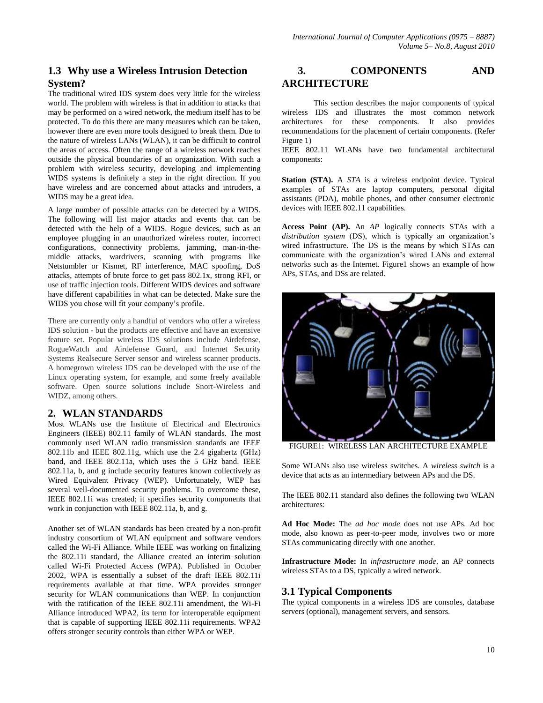# **1.3 Why use a Wireless Intrusion Detection System?**

The traditional wired IDS system does very little for the wireless world. The problem with wireless is that in addition to attacks that may be performed on a wired network, the medium itself has to be protected. To do this there are many measures which can be taken, however there are even more tools designed to break them. Due to the nature of wireless LANs (WLAN), it can be difficult to control the areas of access. Often the range of a wireless network reaches outside the physical boundaries of an organization. With such a problem with wireless security, developing and implementing WIDS systems is definitely a step in the right direction. If you have wireless and are concerned about attacks and intruders, a WIDS may be a great idea.

A large number of possible attacks can be detected by a WIDS. The following will list major attacks and events that can be detected with the help of a WIDS. Rogue devices, such as an employee plugging in an unauthorized wireless router, incorrect configurations, connectivity problems, jamming, man-in-themiddle attacks, wardrivers, scanning with programs like Netstumbler or Kismet, RF interference, MAC spoofing, DoS attacks, attempts of brute force to get pass 802.1x, strong RFI, or use of traffic injection tools. Different WIDS devices and software have different capabilities in what can be detected. Make sure the WIDS you chose will fit your company's profile.

There are currently only a handful of vendors who offer a wireless IDS solution - but the products are effective and have an extensive feature set. Popular wireless IDS solutions include Airdefense, RogueWatch and Airdefense Guard, and Internet Security Systems Realsecure Server sensor and wireless scanner products. A homegrown wireless IDS can be developed with the use of the Linux operating system, for example, and some freely available software. Open source solutions include Snort-Wireless and WIDZ, among others.

# **2. WLAN STANDARDS**

Most WLANs use the Institute of Electrical and Electronics Engineers (IEEE) 802.11 family of WLAN standards. The most commonly used WLAN radio transmission standards are IEEE 802.11b and IEEE 802.11g, which use the 2.4 gigahertz (GHz) band, and IEEE 802.11a, which uses the 5 GHz band. IEEE 802.11a, b, and g include security features known collectively as Wired Equivalent Privacy (WEP). Unfortunately, WEP has several well-documented security problems. To overcome these, IEEE 802.11i was created; it specifies security components that work in conjunction with IEEE 802.11a, b, and g.

Another set of WLAN standards has been created by a non-profit industry consortium of WLAN equipment and software vendors called the Wi-Fi Alliance. While IEEE was working on finalizing the 802.11i standard, the Alliance created an interim solution called Wi-Fi Protected Access (WPA). Published in October 2002, WPA is essentially a subset of the draft IEEE 802.11i requirements available at that time. WPA provides stronger security for WLAN communications than WEP. In conjunction with the ratification of the IEEE 802.11i amendment, the Wi-Fi Alliance introduced WPA2, its term for interoperable equipment that is capable of supporting IEEE 802.11i requirements. WPA2 offers stronger security controls than either WPA or WEP.

# **3. COMPONENTS AND ARCHITECTURE**

This section describes the major components of typical wireless IDS and illustrates the most common network architectures for these components. It also provides recommendations for the placement of certain components. (Refer Figure 1)

IEEE 802.11 WLANs have two fundamental architectural components:

**Station (STA).** A *STA* is a wireless endpoint device. Typical examples of STAs are laptop computers, personal digital assistants (PDA), mobile phones, and other consumer electronic devices with IEEE 802.11 capabilities.

**Access Point (AP).** An *AP* logically connects STAs with a *distribution system* (DS), which is typically an organization's wired infrastructure. The DS is the means by which STAs can communicate with the organization's wired LANs and external networks such as the Internet. Figure1 shows an example of how APs, STAs, and DSs are related.



FIGURE1: WIRELESS LAN ARCHITECTURE EXAMPLE

Some WLANs also use wireless switches. A *wireless switch* is a device that acts as an intermediary between APs and the DS.

The IEEE 802.11 standard also defines the following two WLAN architectures:

**Ad Hoc Mode:** The *ad hoc mode* does not use APs. Ad hoc mode, also known as peer-to-peer mode, involves two or more STAs communicating directly with one another.

**Infrastructure Mode:** In *infrastructure mode*, an AP connects wireless STAs to a DS, typically a wired network.

# **3.1 Typical Components**

The typical components in a wireless IDS are consoles, database servers (optional), management servers, and sensors.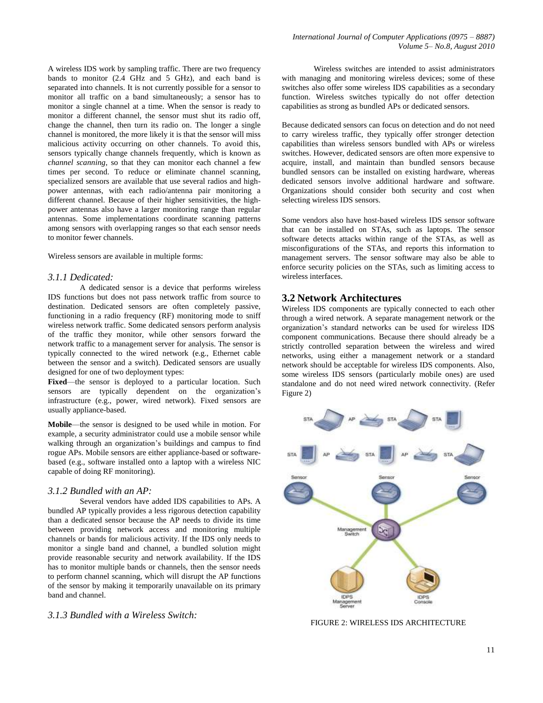A wireless IDS work by sampling traffic. There are two frequency bands to monitor (2.4 GHz and 5 GHz), and each band is separated into channels. It is not currently possible for a sensor to monitor all traffic on a band simultaneously; a sensor has to monitor a single channel at a time. When the sensor is ready to monitor a different channel, the sensor must shut its radio off, change the channel, then turn its radio on. The longer a single channel is monitored, the more likely it is that the sensor will miss malicious activity occurring on other channels. To avoid this, sensors typically change channels frequently, which is known as *channel scanning*, so that they can monitor each channel a few times per second. To reduce or eliminate channel scanning, specialized sensors are available that use several radios and highpower antennas, with each radio/antenna pair monitoring a different channel. Because of their higher sensitivities, the highpower antennas also have a larger monitoring range than regular antennas. Some implementations coordinate scanning patterns among sensors with overlapping ranges so that each sensor needs to monitor fewer channels.

Wireless sensors are available in multiple forms:

#### *3.1.1 Dedicated:*

A dedicated sensor is a device that performs wireless IDS functions but does not pass network traffic from source to destination. Dedicated sensors are often completely passive, functioning in a radio frequency (RF) monitoring mode to sniff wireless network traffic. Some dedicated sensors perform analysis of the traffic they monitor, while other sensors forward the network traffic to a management server for analysis. The sensor is typically connected to the wired network (e.g., Ethernet cable between the sensor and a switch). Dedicated sensors are usually designed for one of two deployment types:

Fixed—the sensor is deployed to a particular location. Such sensors are typically dependent on the organization's infrastructure (e.g., power, wired network). Fixed sensors are usually appliance-based.

**Mobile**—the sensor is designed to be used while in motion. For example, a security administrator could use a mobile sensor while walking through an organization's buildings and campus to find rogue APs. Mobile sensors are either appliance-based or softwarebased (e.g., software installed onto a laptop with a wireless NIC capable of doing RF monitoring).

#### *3.1.2 Bundled with an AP:*

Several vendors have added IDS capabilities to APs. A bundled AP typically provides a less rigorous detection capability than a dedicated sensor because the AP needs to divide its time between providing network access and monitoring multiple channels or bands for malicious activity. If the IDS only needs to monitor a single band and channel, a bundled solution might provide reasonable security and network availability. If the IDS has to monitor multiple bands or channels, then the sensor needs to perform channel scanning, which will disrupt the AP functions of the sensor by making it temporarily unavailable on its primary band and channel.

*3.1.3 Bundled with a Wireless Switch:*

Wireless switches are intended to assist administrators with managing and monitoring wireless devices; some of these switches also offer some wireless IDS capabilities as a secondary function. Wireless switches typically do not offer detection capabilities as strong as bundled APs or dedicated sensors.

Because dedicated sensors can focus on detection and do not need to carry wireless traffic, they typically offer stronger detection capabilities than wireless sensors bundled with APs or wireless switches. However, dedicated sensors are often more expensive to acquire, install, and maintain than bundled sensors because bundled sensors can be installed on existing hardware, whereas dedicated sensors involve additional hardware and software. Organizations should consider both security and cost when selecting wireless IDS sensors.

Some vendors also have host-based wireless IDS sensor software that can be installed on STAs, such as laptops. The sensor software detects attacks within range of the STAs, as well as misconfigurations of the STAs, and reports this information to management servers. The sensor software may also be able to enforce security policies on the STAs, such as limiting access to wireless interfaces.

#### **3.2 Network Architectures**

Wireless IDS components are typically connected to each other through a wired network. A separate management network or the organization's standard networks can be used for wireless IDS component communications. Because there should already be a strictly controlled separation between the wireless and wired networks, using either a management network or a standard network should be acceptable for wireless IDS components. Also, some wireless IDS sensors (particularly mobile ones) are used standalone and do not need wired network connectivity. (Refer Figure 2)



FIGURE 2: WIRELESS IDS ARCHITECTURE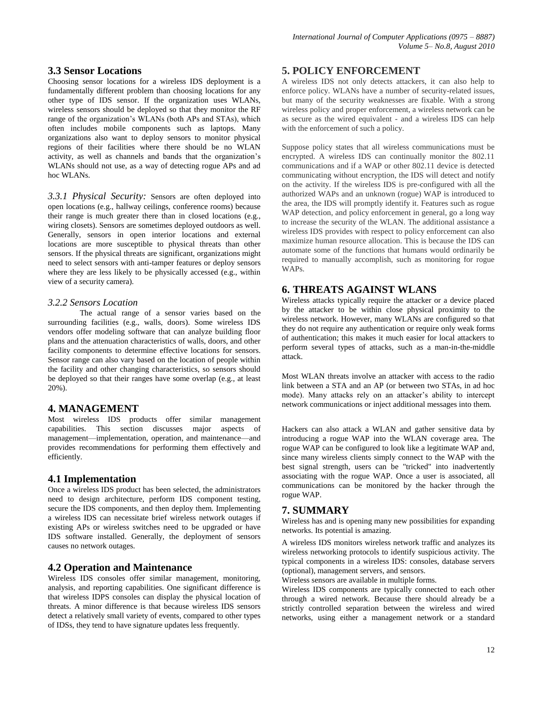#### **3.3 Sensor Locations**

Choosing sensor locations for a wireless IDS deployment is a fundamentally different problem than choosing locations for any other type of IDS sensor. If the organization uses WLANs, wireless sensors should be deployed so that they monitor the RF range of the organization's WLANs (both APs and STAs), which often includes mobile components such as laptops. Many organizations also want to deploy sensors to monitor physical regions of their facilities where there should be no WLAN activity, as well as channels and bands that the organization's WLANs should not use, as a way of detecting rogue APs and ad hoc WLANs.

*3.3.1 Physical Security:* Sensors are often deployed into open locations (e.g., hallway ceilings, conference rooms) because their range is much greater there than in closed locations (e.g., wiring closets). Sensors are sometimes deployed outdoors as well. Generally, sensors in open interior locations and external locations are more susceptible to physical threats than other sensors. If the physical threats are significant, organizations might need to select sensors with anti-tamper features or deploy sensors where they are less likely to be physically accessed (e.g., within view of a security camera).

#### *3.2.2 Sensors Location*

The actual range of a sensor varies based on the surrounding facilities (e.g., walls, doors). Some wireless IDS vendors offer modeling software that can analyze building floor plans and the attenuation characteristics of walls, doors, and other facility components to determine effective locations for sensors. Sensor range can also vary based on the location of people within the facility and other changing characteristics, so sensors should be deployed so that their ranges have some overlap (e.g., at least 20%).

### **4. MANAGEMENT**

Most wireless IDS products offer similar management capabilities. This section discusses major aspects of management—implementation, operation, and maintenance—and provides recommendations for performing them effectively and efficiently.

#### **4.1 Implementation**

Once a wireless IDS product has been selected, the administrators need to design architecture, perform IDS component testing, secure the IDS components, and then deploy them. Implementing a wireless IDS can necessitate brief wireless network outages if existing APs or wireless switches need to be upgraded or have IDS software installed. Generally, the deployment of sensors causes no network outages.

### **4.2 Operation and Maintenance**

Wireless IDS consoles offer similar management, monitoring, analysis, and reporting capabilities. One significant difference is that wireless IDPS consoles can display the physical location of threats. A minor difference is that because wireless IDS sensors detect a relatively small variety of events, compared to other types of IDSs, they tend to have signature updates less frequently.

#### **5. POLICY ENFORCEMENT**

A wireless IDS not only detects attackers, it can also help to enforce policy. WLANs have a number of security-related issues, but many of the security weaknesses are fixable. With a strong wireless policy and proper enforcement, a wireless network can be as secure as the wired equivalent - and a wireless IDS can help with the enforcement of such a policy.

Suppose policy states that all wireless communications must be encrypted. A wireless IDS can continually monitor the 802.11 communications and if a WAP or other 802.11 device is detected communicating without encryption, the IDS will detect and notify on the activity. If the wireless IDS is pre-configured with all the authorized WAPs and an unknown (rogue) WAP is introduced to the area, the IDS will promptly identify it. Features such as rogue WAP detection, and policy enforcement in general, go a long way to increase the security of the WLAN. The additional assistance a wireless IDS provides with respect to policy enforcement can also maximize human resource allocation. This is because the IDS can automate some of the functions that humans would ordinarily be required to manually accomplish, such as monitoring for rogue WAPs.

# **6. THREATS AGAINST WLANS**

Wireless attacks typically require the attacker or a device placed by the attacker to be within close physical proximity to the wireless network. However, many WLANs are configured so that they do not require any authentication or require only weak forms of authentication; this makes it much easier for local attackers to perform several types of attacks, such as a man-in-the-middle attack.

Most WLAN threats involve an attacker with access to the radio link between a STA and an AP (or between two STAs, in ad hoc mode). Many attacks rely on an attacker's ability to intercept network communications or inject additional messages into them.

Hackers can also attack a WLAN and gather sensitive data by introducing a rogue WAP into the WLAN coverage area. The rogue WAP can be configured to look like a legitimate WAP and, since many wireless clients simply connect to the WAP with the best signal strength, users can be "tricked" into inadvertently associating with the rogue WAP. Once a user is associated, all communications can be monitored by the hacker through the rogue WAP.

### **7. SUMMARY**

Wireless has and is opening many new possibilities for expanding networks. Its potential is amazing.

A wireless IDS monitors wireless network traffic and analyzes its wireless networking protocols to identify suspicious activity. The typical components in a wireless IDS: consoles, database servers (optional), management servers, and sensors.

Wireless sensors are available in multiple forms.

Wireless IDS components are typically connected to each other through a wired network. Because there should already be a strictly controlled separation between the wireless and wired networks, using either a management network or a standard